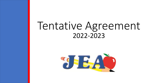#### Tentative Agreement 2022-2023

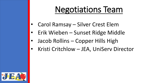#### Negotiations Team

- Carol Ramsay Silver Crest Elem
- Erik Wieben Sunset Ridge Middle
- Jacob Rollins Copper Hills High
- Kristi Critchlow JEA, UniServ Director

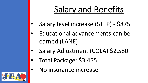## Salary and Benefits

- Salary level increase (STEP) \$875
- Educational advancements can be earned (LANE)
- Salary Adjustment (COLA) \$2,580
- Total Package: \$3,455
- No insurance increase

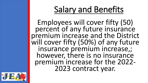### Salary and Benefits

Employees will cover fifty (50) percent of any future insurance premium increase and the District will cover fifty (50%) of any future insurance premium increase,; however, there is no insurance premium increase for the 2022-<br>2023 contract year.

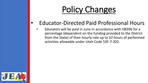## Policy Changes

- Educator-Directed Paid Professional Hours
	- Educators will be paid in June in accordance with HB396 for a percentage (dependent on the funding provided to the District from the State) of their hourly rate up to 32-hours of performed activities allowable under Utah Code 53F-7-202.

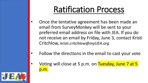### Ratification Process

- Once the tentative agreement has been made an email from SurveyMonkey will be sent to your preferred email address on file with JEA. If you do not receive an email by Friday, June 3, contact Kristi Critchlow, *kristi.critchlow@myUEA.org*.
- Follow the directions in the email to cast your vote
- Voting will close at 5 p.m. on Tuesday, June 7 at 5 p.m.